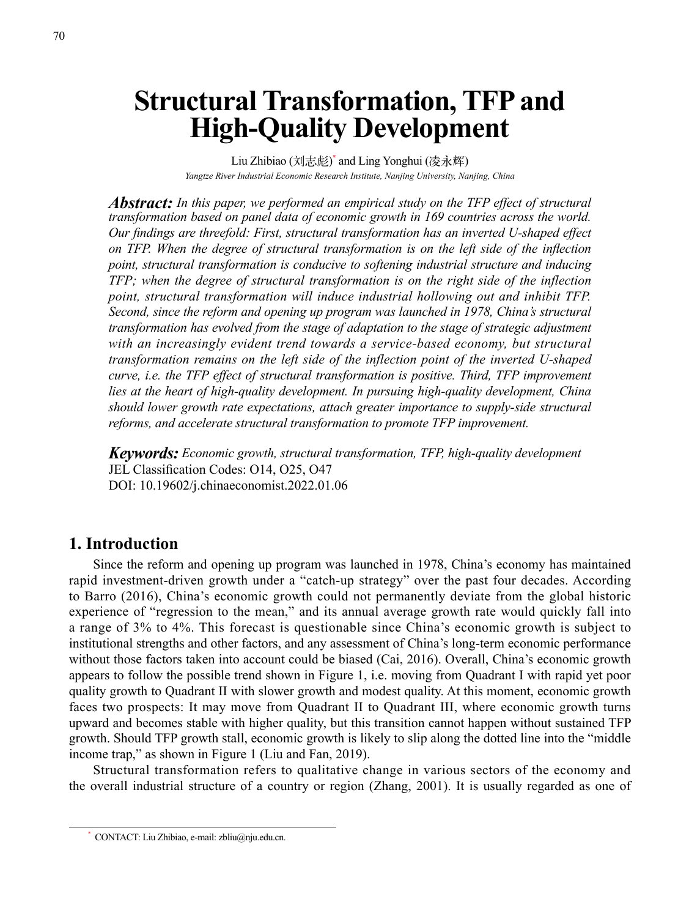# **Structural Transformation, TFP and High-Quality Development**

Liu Zhibiao (刘志彪) \* and Ling Yonghui (凌永辉) *Yangtze River Industrial Economic Research Institute, Nanjing University, Nanjing, China*

*Abstract: In this paper, we performed an empirical study on the TFP effect of structural transformation based on panel data of economic growth in 169 countries across the world. Our findings are threefold: First, structural transformation has an inverted U-shaped effect on TFP. When the degree of structural transformation is on the left side of the inflection point, structural transformation is conducive to softening industrial structure and inducing TFP; when the degree of structural transformation is on the right side of the inflection point, structural transformation will induce industrial hollowing out and inhibit TFP. Second, since the reform and opening up program was launched in 1978, China's structural transformation has evolved from the stage of adaptation to the stage of strategic adjustment with an increasingly evident trend towards a service-based economy, but structural transformation remains on the left side of the inflection point of the inverted U-shaped curve, i.e. the TFP effect of structural transformation is positive. Third, TFP improvement lies at the heart of high-quality development. In pursuing high-quality development, China should lower growth rate expectations, attach greater importance to supply-side structural reforms, and accelerate structural transformation to promote TFP improvement.*

*Keywords: Economic growth, structural transformation, TFP, high-quality development* JEL Classification Codes: O14, O25, O47 DOI: 10.19602/j.chinaeconomist.2022.01.06

## **1. Introduction**

Since the reform and opening up program was launched in 1978, China's economy has maintained rapid investment-driven growth under a "catch-up strategy" over the past four decades. According to Barro (2016), China's economic growth could not permanently deviate from the global historic experience of "regression to the mean," and its annual average growth rate would quickly fall into a range of 3% to 4%. This forecast is questionable since China's economic growth is subject to institutional strengths and other factors, and any assessment of China's long-term economic performance without those factors taken into account could be biased (Cai, 2016). Overall, China's economic growth appears to follow the possible trend shown in Figure 1, i.e. moving from Quadrant I with rapid yet poor quality growth to Quadrant II with slower growth and modest quality. At this moment, economic growth faces two prospects: It may move from Quadrant II to Quadrant III, where economic growth turns upward and becomes stable with higher quality, but this transition cannot happen without sustained TFP growth. Should TFP growth stall, economic growth is likely to slip along the dotted line into the "middle income trap," as shown in Figure 1 (Liu and Fan, 2019).

Structural transformation refers to qualitative change in various sectors of the economy and the overall industrial structure of a country or region (Zhang, 2001). It is usually regarded as one of

<sup>\*</sup> CONTACT: Liu Zhibiao, e-mail: zbliu@nju.edu.cn.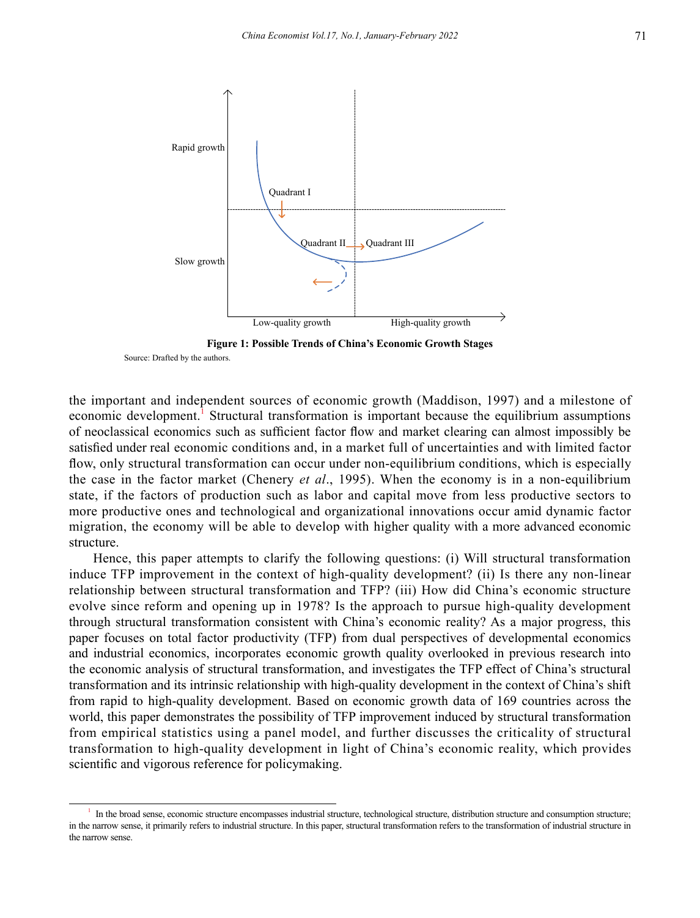

**Figure 1: Possible Trends of China's Economic Growth Stages** Source: Drafted by the authors.

the important and independent sources of economic growth (Maddison, 1997) and a milestone of economic development.<sup>1</sup> Structural transformation is important because the equilibrium assumptions of neoclassical economics such as sufficient factor flow and market clearing can almost impossibly be satisfied under real economic conditions and, in a market full of uncertainties and with limited factor flow, only structural transformation can occur under non-equilibrium conditions, which is especially the case in the factor market (Chenery *et al*., 1995). When the economy is in a non-equilibrium state, if the factors of production such as labor and capital move from less productive sectors to more productive ones and technological and organizational innovations occur amid dynamic factor migration, the economy will be able to develop with higher quality with a more advanced economic structure.

Hence, this paper attempts to clarify the following questions: (i) Will structural transformation induce TFP improvement in the context of high-quality development? (ii) Is there any non-linear relationship between structural transformation and TFP? (iii) How did China's economic structure evolve since reform and opening up in 1978? Is the approach to pursue high-quality development through structural transformation consistent with China's economic reality? As a major progress, this paper focuses on total factor productivity (TFP) from dual perspectives of developmental economics and industrial economics, incorporates economic growth quality overlooked in previous research into the economic analysis of structural transformation, and investigates the TFP effect of China's structural transformation and its intrinsic relationship with high-quality development in the context of China's shift from rapid to high-quality development. Based on economic growth data of 169 countries across the world, this paper demonstrates the possibility of TFP improvement induced by structural transformation from empirical statistics using a panel model, and further discusses the criticality of structural transformation to high-quality development in light of China's economic reality, which provides scientific and vigorous reference for policymaking.

<sup>1</sup> In the broad sense, economic structure encompasses industrial structure, technological structure, distribution structure and consumption structure; in the narrow sense, it primarily refers to industrial structure. In this paper, structural transformation refers to the transformation of industrial structure in the narrow sense.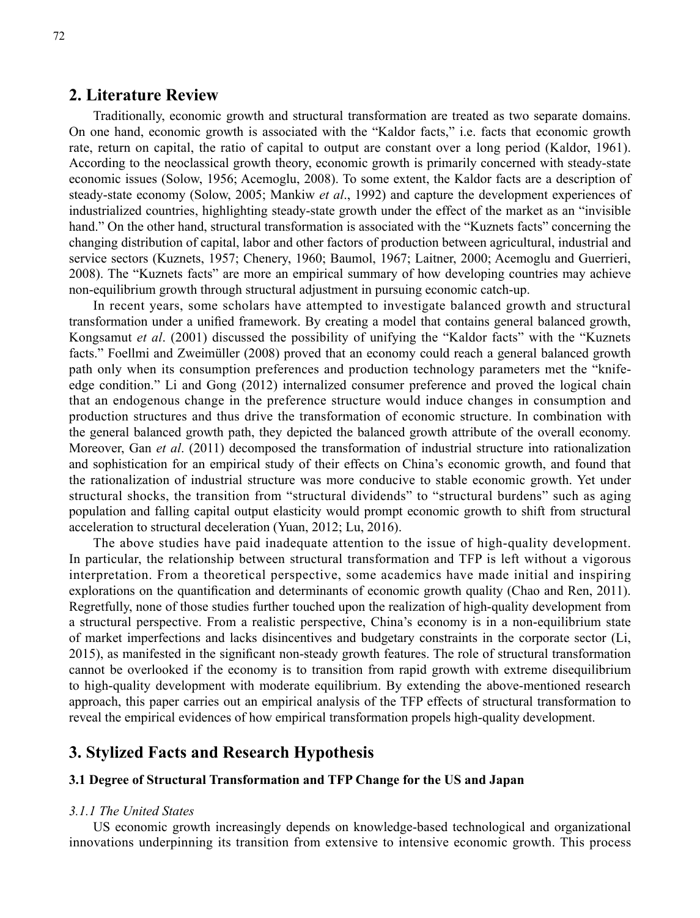## **2. Literature Review**

Traditionally, economic growth and structural transformation are treated as two separate domains. On one hand, economic growth is associated with the "Kaldor facts," i.e. facts that economic growth rate, return on capital, the ratio of capital to output are constant over a long period (Kaldor, 1961). According to the neoclassical growth theory, economic growth is primarily concerned with steady-state economic issues (Solow, 1956; Acemoglu, 2008). To some extent, the Kaldor facts are a description of steady-state economy (Solow, 2005; Mankiw *et al*., 1992) and capture the development experiences of industrialized countries, highlighting steady-state growth under the effect of the market as an "invisible hand." On the other hand, structural transformation is associated with the "Kuznets facts" concerning the changing distribution of capital, labor and other factors of production between agricultural, industrial and service sectors (Kuznets, 1957; Chenery, 1960; Baumol, 1967; Laitner, 2000; Acemoglu and Guerrieri, 2008). The "Kuznets facts" are more an empirical summary of how developing countries may achieve non-equilibrium growth through structural adjustment in pursuing economic catch-up.

In recent years, some scholars have attempted to investigate balanced growth and structural transformation under a unified framework. By creating a model that contains general balanced growth, Kongsamut *et al*. (2001) discussed the possibility of unifying the "Kaldor facts" with the "Kuznets facts." Foellmi and Zweimüller (2008) proved that an economy could reach a general balanced growth path only when its consumption preferences and production technology parameters met the "knifeedge condition." Li and Gong (2012) internalized consumer preference and proved the logical chain that an endogenous change in the preference structure would induce changes in consumption and production structures and thus drive the transformation of economic structure. In combination with the general balanced growth path, they depicted the balanced growth attribute of the overall economy. Moreover, Gan *et al*. (2011) decomposed the transformation of industrial structure into rationalization and sophistication for an empirical study of their effects on China's economic growth, and found that the rationalization of industrial structure was more conducive to stable economic growth. Yet under structural shocks, the transition from "structural dividends" to "structural burdens" such as aging population and falling capital output elasticity would prompt economic growth to shift from structural acceleration to structural deceleration (Yuan, 2012; Lu, 2016).

The above studies have paid inadequate attention to the issue of high-quality development. In particular, the relationship between structural transformation and TFP is left without a vigorous interpretation. From a theoretical perspective, some academics have made initial and inspiring explorations on the quantification and determinants of economic growth quality (Chao and Ren, 2011). Regretfully, none of those studies further touched upon the realization of high-quality development from a structural perspective. From a realistic perspective, China's economy is in a non-equilibrium state of market imperfections and lacks disincentives and budgetary constraints in the corporate sector (Li, 2015), as manifested in the significant non-steady growth features. The role of structural transformation cannot be overlooked if the economy is to transition from rapid growth with extreme disequilibrium to high-quality development with moderate equilibrium. By extending the above-mentioned research approach, this paper carries out an empirical analysis of the TFP effects of structural transformation to reveal the empirical evidences of how empirical transformation propels high-quality development.

# **3. Stylized Facts and Research Hypothesis**

#### **3.1 Degree of Structural Transformation and TFP Change for the US and Japan**

#### *3.1.1 The United States*

US economic growth increasingly depends on knowledge-based technological and organizational innovations underpinning its transition from extensive to intensive economic growth. This process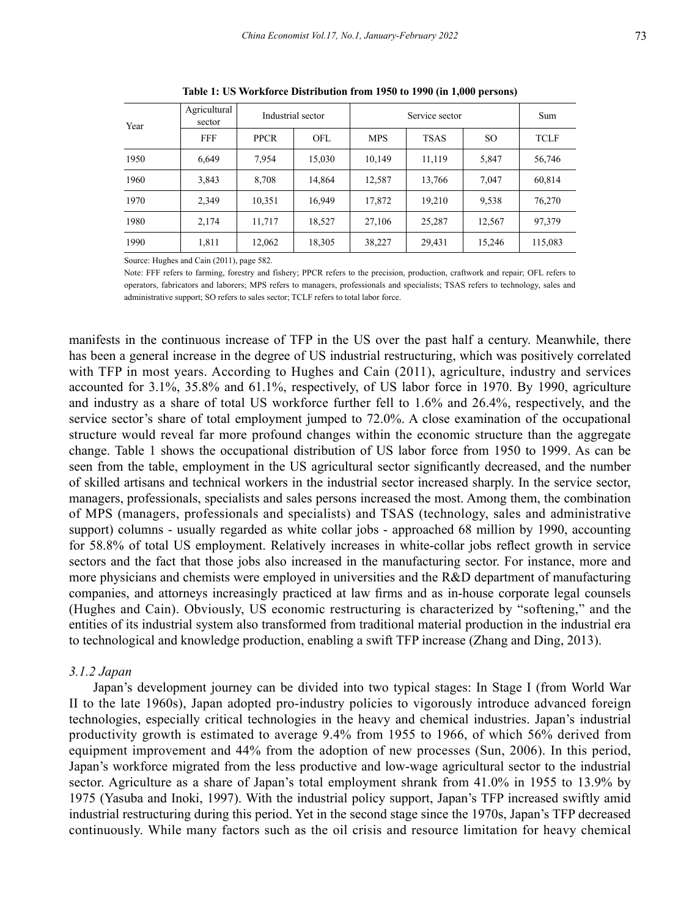| Year | Agricultural<br>sector | Industrial sector |            | Service sector |             |        | Sum     |
|------|------------------------|-------------------|------------|----------------|-------------|--------|---------|
|      | <b>FFF</b>             | <b>PPCR</b>       | <b>OFL</b> | <b>MPS</b>     | <b>TSAS</b> | SO.    | TCLF    |
| 1950 | 6,649                  | 7,954             | 15,030     | 10,149         | 11,119      | 5,847  | 56,746  |
| 1960 | 3,843                  | 8,708             | 14,864     | 12,587         | 13,766      | 7,047  | 60,814  |
| 1970 | 2,349                  | 10,351            | 16,949     | 17,872         | 19,210      | 9,538  | 76,270  |
| 1980 | 2,174                  | 11,717            | 18,527     | 27,106         | 25,287      | 12,567 | 97,379  |
| 1990 | 1,811                  | 12,062            | 18,305     | 38,227         | 29,431      | 15,246 | 115,083 |

**Table 1: US Workforce Distribution from 1950 to 1990 (in 1,000 persons)**

Source: Hughes and Cain (2011), page 582.

Note: FFF refers to farming, forestry and fishery; PPCR refers to the precision, production, craftwork and repair; OFL refers to operators, fabricators and laborers; MPS refers to managers, professionals and specialists; TSAS refers to technology, sales and administrative support; SO refers to sales sector; TCLF refers to total labor force.

manifests in the continuous increase of TFP in the US over the past half a century. Meanwhile, there has been a general increase in the degree of US industrial restructuring, which was positively correlated with TFP in most years. According to Hughes and Cain (2011), agriculture, industry and services accounted for 3.1%, 35.8% and 61.1%, respectively, of US labor force in 1970. By 1990, agriculture and industry as a share of total US workforce further fell to 1.6% and 26.4%, respectively, and the service sector's share of total employment jumped to 72.0%. A close examination of the occupational structure would reveal far more profound changes within the economic structure than the aggregate change. Table 1 shows the occupational distribution of US labor force from 1950 to 1999. As can be seen from the table, employment in the US agricultural sector significantly decreased, and the number of skilled artisans and technical workers in the industrial sector increased sharply. In the service sector, managers, professionals, specialists and sales persons increased the most. Among them, the combination of MPS (managers, professionals and specialists) and TSAS (technology, sales and administrative support) columns - usually regarded as white collar jobs - approached 68 million by 1990, accounting for 58.8% of total US employment. Relatively increases in white-collar jobs reflect growth in service sectors and the fact that those jobs also increased in the manufacturing sector. For instance, more and more physicians and chemists were employed in universities and the R&D department of manufacturing companies, and attorneys increasingly practiced at law firms and as in-house corporate legal counsels (Hughes and Cain). Obviously, US economic restructuring is characterized by "softening," and the entities of its industrial system also transformed from traditional material production in the industrial era to technological and knowledge production, enabling a swift TFP increase (Zhang and Ding, 2013).

#### *3.1.2 Japan*

Japan's development journey can be divided into two typical stages: In Stage I (from World War II to the late 1960s), Japan adopted pro-industry policies to vigorously introduce advanced foreign technologies, especially critical technologies in the heavy and chemical industries. Japan's industrial productivity growth is estimated to average 9.4% from 1955 to 1966, of which 56% derived from equipment improvement and 44% from the adoption of new processes (Sun, 2006). In this period, Japan's workforce migrated from the less productive and low-wage agricultural sector to the industrial sector. Agriculture as a share of Japan's total employment shrank from 41.0% in 1955 to 13.9% by 1975 (Yasuba and Inoki, 1997). With the industrial policy support, Japan's TFP increased swiftly amid industrial restructuring during this period. Yet in the second stage since the 1970s, Japan's TFP decreased continuously. While many factors such as the oil crisis and resource limitation for heavy chemical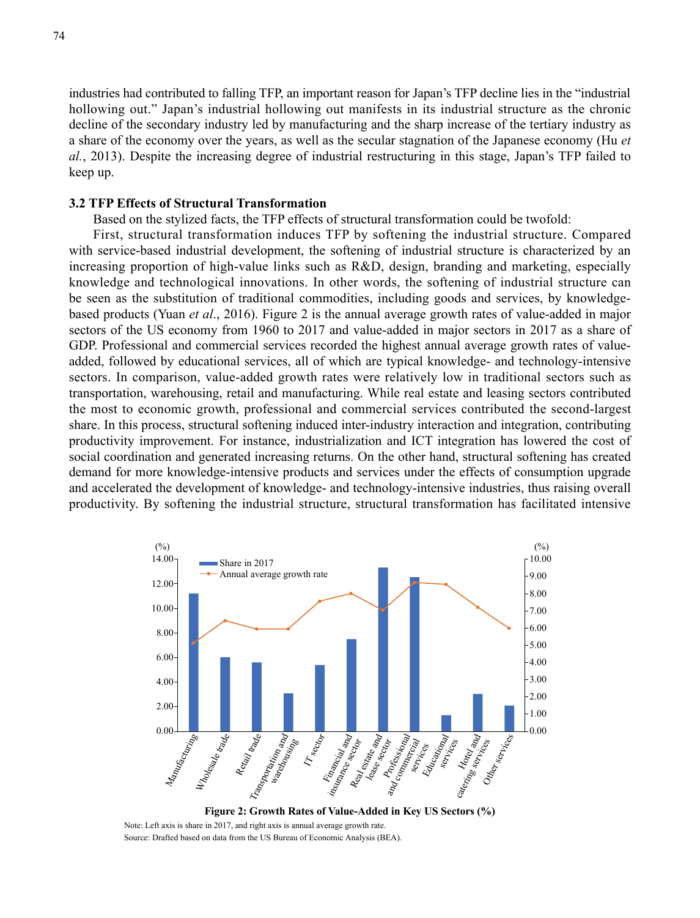industries had contributed to falling TFP, an important reason for Japan's TFP decline lies in the "industrial hollowing out." Japan's industrial hollowing out manifests in its industrial structure as the chronic decline of the secondary industry led by manufacturing and the sharp increase of the tertiary industry as a share of the economy over the years, as well as the secular stagnation of the Japanese economy (Hu *et al.*, 2013). Despite the increasing degree of industrial restructuring in this stage, Japan's TFP failed to keep up.

#### **3.2 TFP Effects of Structural Transformation**

Based on the stylized facts, the TFP effects of structural transformation could be twofold:

First, structural transformation induces TFP by softening the industrial structure. Compared with service-based industrial development, the softening of industrial structure is characterized by an increasing proportion of high-value links such as R&D, design, branding and marketing, especially knowledge and technological innovations. In other words, the softening of industrial structure can be seen as the substitution of traditional commodities, including goods and services, by knowledgebased products (Yuan *et al*., 2016). Figure 2 is the annual average growth rates of value-added in major sectors of the US economy from 1960 to 2017 and value-added in major sectors in 2017 as a share of GDP. Professional and commercial services recorded the highest annual average growth rates of valueadded, followed by educational services, all of which are typical knowledge- and technology-intensive sectors. In comparison, value-added growth rates were relatively low in traditional sectors such as transportation, warehousing, retail and manufacturing. While real estate and leasing sectors contributed the most to economic growth, professional and commercial services contributed the second-largest share. In this process, structural softening induced inter-industry interaction and integration, contributing productivity improvement. For instance, industrialization and ICT integration has lowered the cost of social coordination and generated increasing returns. On the other hand, structural softening has created demand for more knowledge-intensive products and services under the effects of consumption upgrade and accelerated the development of knowledge- and technology-intensive industries, thus raising overall productivity. By softening the industrial structure, structural transformation has facilitated intensive



**Figure 2: Growth Rates of Value-Added in Key US Sectors (%)** Note: Left axis is share in 2017, and right axis is annual average growth rate.

Source: Drafted based on data from the US Bureau of Economic Analysis (BEA).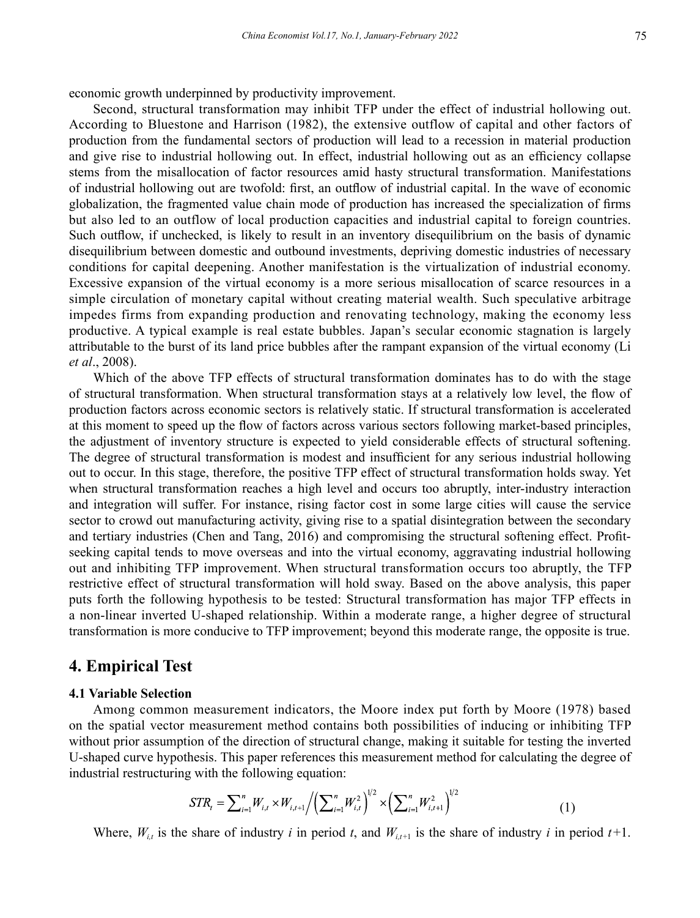economic growth underpinned by productivity improvement.

Second, structural transformation may inhibit TFP under the effect of industrial hollowing out. According to Bluestone and Harrison (1982), the extensive outflow of capital and other factors of production from the fundamental sectors of production will lead to a recession in material production and give rise to industrial hollowing out. In effect, industrial hollowing out as an efficiency collapse stems from the misallocation of factor resources amid hasty structural transformation. Manifestations of industrial hollowing out are twofold: first, an outflow of industrial capital. In the wave of economic globalization, the fragmented value chain mode of production has increased the specialization of firms but also led to an outflow of local production capacities and industrial capital to foreign countries. Such outflow, if unchecked, is likely to result in an inventory disequilibrium on the basis of dynamic disequilibrium between domestic and outbound investments, depriving domestic industries of necessary conditions for capital deepening. Another manifestation is the virtualization of industrial economy. Excessive expansion of the virtual economy is a more serious misallocation of scarce resources in a simple circulation of monetary capital without creating material wealth. Such speculative arbitrage impedes firms from expanding production and renovating technology, making the economy less productive. A typical example is real estate bubbles. Japan's secular economic stagnation is largely attributable to the burst of its land price bubbles after the rampant expansion of the virtual economy (Li *et al*., 2008).

Which of the above TFP effects of structural transformation dominates has to do with the stage of structural transformation. When structural transformation stays at a relatively low level, the flow of production factors across economic sectors is relatively static. If structural transformation is accelerated at this moment to speed up the flow of factors across various sectors following market-based principles, the adjustment of inventory structure is expected to yield considerable effects of structural softening. The degree of structural transformation is modest and insufficient for any serious industrial hollowing out to occur. In this stage, therefore, the positive TFP effect of structural transformation holds sway. Yet when structural transformation reaches a high level and occurs too abruptly, inter-industry interaction and integration will suffer. For instance, rising factor cost in some large cities will cause the service sector to crowd out manufacturing activity, giving rise to a spatial disintegration between the secondary and tertiary industries (Chen and Tang, 2016) and compromising the structural softening effect. Profitseeking capital tends to move overseas and into the virtual economy, aggravating industrial hollowing out and inhibiting TFP improvement. When structural transformation occurs too abruptly, the TFP restrictive effect of structural transformation will hold sway. Based on the above analysis, this paper puts forth the following hypothesis to be tested: Structural transformation has major TFP effects in a non-linear inverted U-shaped relationship. Within a moderate range, a higher degree of structural transformation is more conducive to TFP improvement; beyond this moderate range, the opposite is true.

# **4. Empirical Test**

#### **4.1 Variable Selection**

Among common measurement indicators, the Moore index put forth by Moore (1978) based on the spatial vector measurement method contains both possibilities of inducing or inhibiting TFP without prior assumption of the direction of structural change, making it suitable for testing the inverted U-shaped curve hypothesis. This paper references this measurement method for calculating the degree of industrial restructuring with the following equation:

$$
STR_t = \sum_{i=1}^n W_{i,t} \times W_{i,t+1} / \left( \sum_{i=1}^n W_{i,t}^2 \right)^{1/2} \times \left( \sum_{i=1}^n W_{i,t+1}^2 \right)^{1/2}
$$
 (1)

Where,  $W_{it}$  is the share of industry *i* in period *t*, and  $W_{it+1}$  is the share of industry *i* in period *t*+1.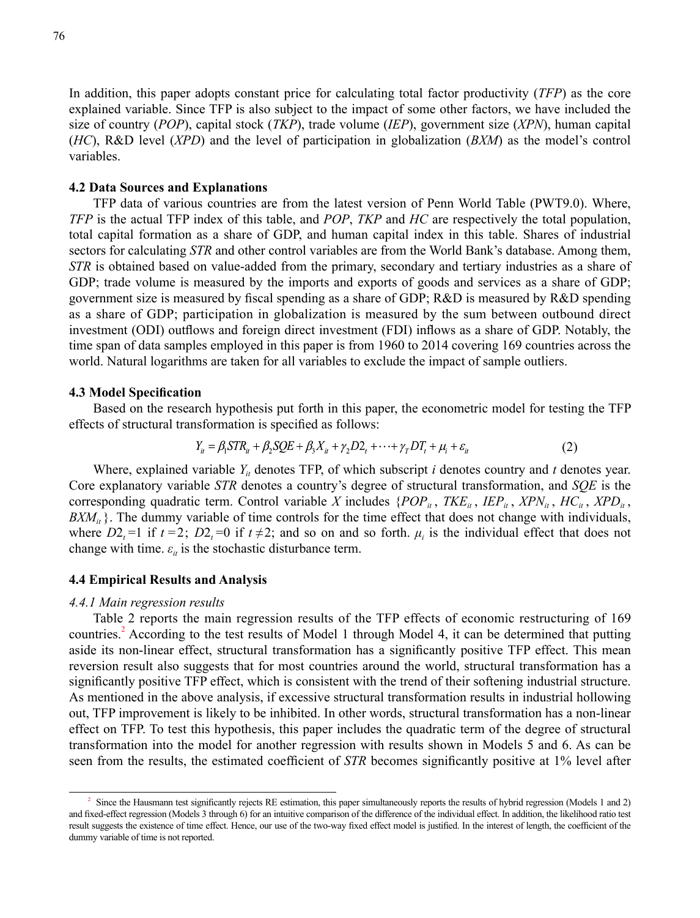In addition, this paper adopts constant price for calculating total factor productivity (*TFP*) as the core explained variable. Since TFP is also subject to the impact of some other factors, we have included the size of country (*POP*), capital stock (*TKP*), trade volume (*IEP*), government size (*XPN*), human capital (*HC*), R&D level (*XPD*) and the level of participation in globalization (*BXM*) as the model's control variables.

#### **4.2 Data Sources and Explanations**

TFP data of various countries are from the latest version of Penn World Table (PWT9.0). Where, *TFP* is the actual TFP index of this table, and *POP*, *TKP* and *HC* are respectively the total population, total capital formation as a share of GDP, and human capital index in this table. Shares of industrial sectors for calculating *STR* and other control variables are from the World Bank's database. Among them, *STR* is obtained based on value-added from the primary, secondary and tertiary industries as a share of GDP; trade volume is measured by the imports and exports of goods and services as a share of GDP; government size is measured by fiscal spending as a share of GDP; R&D is measured by R&D spending as a share of GDP; participation in globalization is measured by the sum between outbound direct investment (ODI) outflows and foreign direct investment (FDI) inflows as a share of GDP. Notably, the time span of data samples employed in this paper is from 1960 to 2014 covering 169 countries across the world. Natural logarithms are taken for all variables to exclude the impact of sample outliers.

#### **4.3 Model Specification**

Based on the research hypothesis put forth in this paper, the econometric model for testing the TFP effects of structural transformation is specified as follows:

$$
Y_{ii} = \beta_1 STR_{ii} + \beta_2 SQL + \beta_3 X_{ii} + \gamma_2 D2_i + \dots + \gamma_T DT_i + \mu_i + \varepsilon_{ii}
$$
 (2)

Where, explained variable  $Y_i$  denotes TFP, of which subscript *i* denotes country and *t* denotes year. Core explanatory variable *STR* denotes a country's degree of structural transformation, and *SQE* is the corresponding quadratic term. Control variable *X* includes  $\{POP_{it}, \textit{TKE}_{it}, \textit{IEP}_{it}, \textit{XPN}_{it}, \textit{HC}_{it}, \textit{XPD}_{it}, \textit{XPD}_{it}, \textit{XPD}_{it}, \textit{XPD}_{it}, \textit{XPD}_{it}, \textit{XPD}_{it}, \textit{XPD}_{it}, \textit{XPD}_{it}, \textit{XPD}_{it}, \textit{XPD}_{it}, \textit{XPD}_{it}, \textit{XPD}_{it}, \textit{XPD}_{it}, \textit$  $BXM_{it}$  }. The dummy variable of time controls for the time effect that does not change with individuals, where  $D2_t = 1$  if  $t = 2$ ;  $D2_t = 0$  if  $t \neq 2$ ; and so on and so forth.  $\mu_i$  is the individual effect that does not change with time.  $\varepsilon_{it}$  is the stochastic disturbance term.

#### **4.4 Empirical Results and Analysis**

#### *4.4.1 Main regression results*

Table 2 reports the main regression results of the TFP effects of economic restructuring of 169 countries.<sup>2</sup> According to the test results of Model 1 through Model 4, it can be determined that putting aside its non-linear effect, structural transformation has a significantly positive TFP effect. This mean reversion result also suggests that for most countries around the world, structural transformation has a significantly positive TFP effect, which is consistent with the trend of their softening industrial structure. As mentioned in the above analysis, if excessive structural transformation results in industrial hollowing out, TFP improvement is likely to be inhibited. In other words, structural transformation has a non-linear effect on TFP. To test this hypothesis, this paper includes the quadratic term of the degree of structural transformation into the model for another regression with results shown in Models 5 and 6. As can be seen from the results, the estimated coefficient of *STR* becomes significantly positive at 1% level after

<sup>2</sup> Since the Hausmann test significantly rejects RE estimation, this paper simultaneously reports the results of hybrid regression (Models 1 and 2) and fixed-effect regression (Models 3 through 6) for an intuitive comparison of the difference of the individual effect. In addition, the likelihood ratio test result suggests the existence of time effect. Hence, our use of the two-way fixed effect model is justified. In the interest of length, the coefficient of the dummy variable of time is not reported.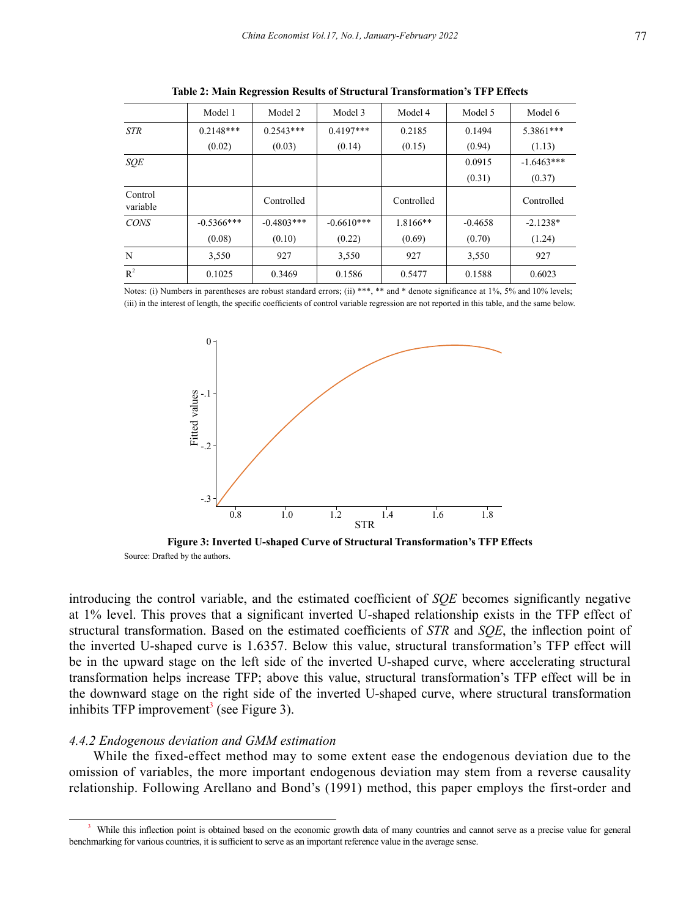|                     | Model 1      | Model 2      | Model 3      | Model 4    | Model 5   | Model 6      |
|---------------------|--------------|--------------|--------------|------------|-----------|--------------|
| <b>STR</b>          | $0.2148***$  | $0.2543***$  | $0.4197***$  | 0.2185     | 0.1494    | 5.3861***    |
|                     | (0.02)       | (0.03)       | (0.14)       | (0.15)     | (0.94)    | (1.13)       |
| SQE                 |              |              |              |            | 0.0915    | $-1.6463***$ |
|                     |              |              |              |            | (0.31)    | (0.37)       |
| Control<br>variable |              | Controlled   |              | Controlled |           | Controlled   |
| <b>CONS</b>         | $-0.5366***$ | $-0.4803***$ | $-0.6610***$ | 1.8166**   | $-0.4658$ | $-2.1238*$   |
|                     | (0.08)       | (0.10)       | (0.22)       | (0.69)     | (0.70)    | (1.24)       |
| N                   | 3,550        | 927          | 3,550        | 927        | 3,550     | 927          |
| $R^2$               | 0.1025       | 0.3469       | 0.1586       | 0.5477     | 0.1588    | 0.6023       |

**Table 2: Main Regression Results of Structural Transformation's TFP Effects**

Notes: (i) Numbers in parentheses are robust standard errors; (ii) \*\*\*, \*\* and \* denote significance at 1%, 5% and 10% levels; (iii) in the interest of length, the specific coefficients of control variable regression are not reported in this table, and the same below.



**Figure 3: Inverted U-shaped Curve of Structural Transformation's TFP Effects** Source: Drafted by the authors.

introducing the control variable, and the estimated coefficient of *SQE* becomes significantly negative at 1% level. This proves that a significant inverted U-shaped relationship exists in the TFP effect of structural transformation. Based on the estimated coefficients of *STR* and *SQE*, the inflection point of the inverted U-shaped curve is 1.6357. Below this value, structural transformation's TFP effect will be in the upward stage on the left side of the inverted U-shaped curve, where accelerating structural transformation helps increase TFP; above this value, structural transformation's TFP effect will be in the downward stage on the right side of the inverted U-shaped curve, where structural transformation inhibits TFP improvement<sup>3</sup> (see Figure 3).

#### *4.4.2 Endogenous deviation and GMM estimation*

While the fixed-effect method may to some extent ease the endogenous deviation due to the omission of variables, the more important endogenous deviation may stem from a reverse causality relationship. Following Arellano and Bond's (1991) method, this paper employs the first-order and

<sup>&</sup>lt;sup>3</sup> While this inflection point is obtained based on the economic growth data of many countries and cannot serve as a precise value for general benchmarking for various countries, it is sufficient to serve as an important reference value in the average sense.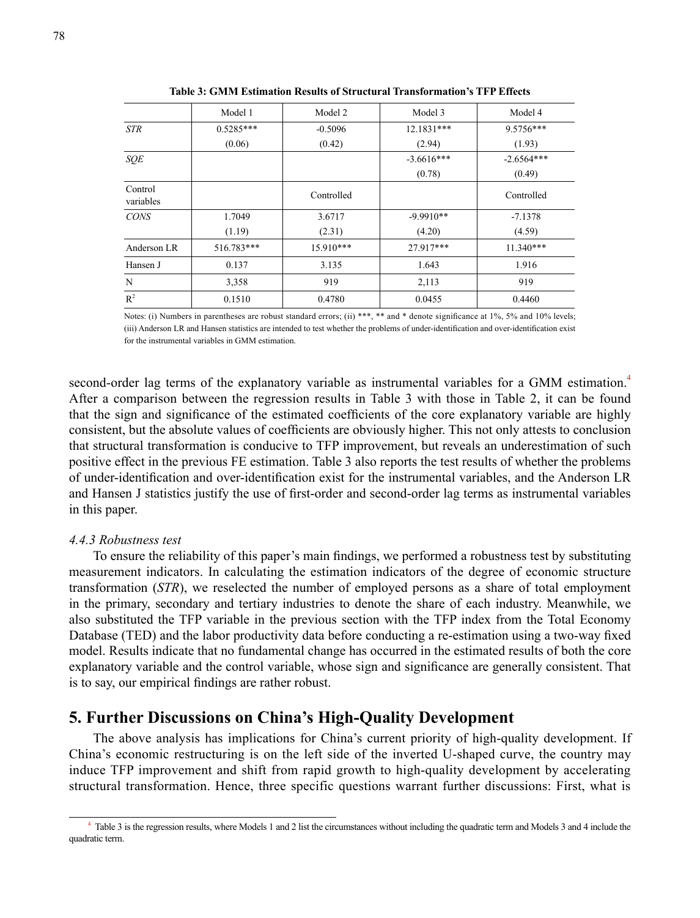|                      | Model 1     | Model 2     | Model 3      | Model 4      |
|----------------------|-------------|-------------|--------------|--------------|
| <b>STR</b>           | $0.5285***$ | $-0.5096$   | 12.1831***   | 9.5756***    |
|                      | (0.06)      | (0.42)      | (2.94)       | (1.93)       |
| <b>SOE</b>           |             |             | $-3.6616***$ | $-2.6564***$ |
|                      |             |             | (0.78)       | (0.49)       |
| Control<br>variables |             | Controlled  |              | Controlled   |
| <b>CONS</b>          | 1.7049      | 3.6717      | $-9.9910**$  | $-7.1378$    |
|                      | (1.19)      | (2.31)      | (4.20)       | (4.59)       |
| Anderson LR          | 516.783***  | $15.910***$ | 27.917***    | $11.340***$  |
| Hansen J             | 0.137       | 3.135       | 1.643        | 1.916        |
| N                    | 3,358       | 919         | 2,113        | 919          |
| $R^2$                | 0.1510      | 0.4780      | 0.0455       | 0.4460       |

**Table 3: GMM Estimation Results of Structural Transformation's TFP Effects**

Notes: (i) Numbers in parentheses are robust standard errors; (ii) \*\*\*, \*\* and \* denote significance at 1%, 5% and 10% levels; (iii) Anderson LR and Hansen statistics are intended to test whether the problems of under-identification and over-identification exist for the instrumental variables in GMM estimation.

second-order lag terms of the explanatory variable as instrumental variables for a GMM estimation.<sup>4</sup> After a comparison between the regression results in Table 3 with those in Table 2, it can be found that the sign and significance of the estimated coefficients of the core explanatory variable are highly consistent, but the absolute values of coefficients are obviously higher. This not only attests to conclusion that structural transformation is conducive to TFP improvement, but reveals an underestimation of such positive effect in the previous FE estimation. Table 3 also reports the test results of whether the problems of under-identification and over-identification exist for the instrumental variables, and the Anderson LR and Hansen J statistics justify the use of first-order and second-order lag terms as instrumental variables in this paper.

#### *4.4.3 Robustness test*

To ensure the reliability of this paper's main findings, we performed a robustness test by substituting measurement indicators. In calculating the estimation indicators of the degree of economic structure transformation (*STR*), we reselected the number of employed persons as a share of total employment in the primary, secondary and tertiary industries to denote the share of each industry. Meanwhile, we also substituted the TFP variable in the previous section with the TFP index from the Total Economy Database (TED) and the labor productivity data before conducting a re-estimation using a two-way fixed model. Results indicate that no fundamental change has occurred in the estimated results of both the core explanatory variable and the control variable, whose sign and significance are generally consistent. That is to say, our empirical findings are rather robust.

## **5. Further Discussions on China's High-Quality Development**

The above analysis has implications for China's current priority of high-quality development. If China's economic restructuring is on the left side of the inverted U-shaped curve, the country may induce TFP improvement and shift from rapid growth to high-quality development by accelerating structural transformation. Hence, three specific questions warrant further discussions: First, what is

<sup>4</sup> Table 3 is the regression results, where Models 1 and 2 list the circumstances without including the quadratic term and Models 3 and 4 include the quadratic term.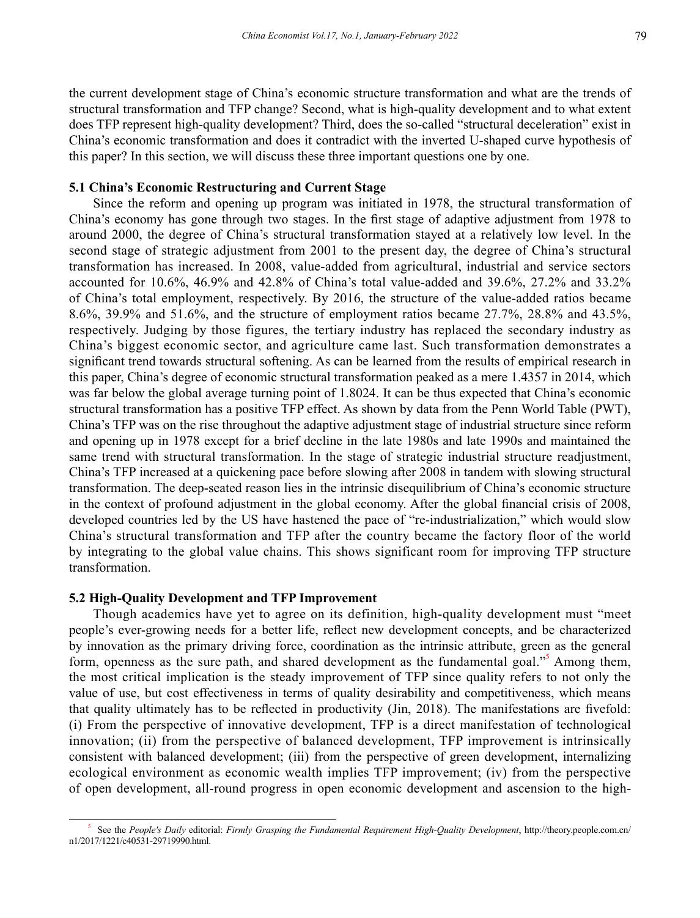the current development stage of China's economic structure transformation and what are the trends of structural transformation and TFP change? Second, what is high-quality development and to what extent does TFP represent high-quality development? Third, does the so-called "structural deceleration" exist in China's economic transformation and does it contradict with the inverted U-shaped curve hypothesis of this paper? In this section, we will discuss these three important questions one by one.

#### **5.1 China's Economic Restructuring and Current Stage**

Since the reform and opening up program was initiated in 1978, the structural transformation of China's economy has gone through two stages. In the first stage of adaptive adjustment from 1978 to around 2000, the degree of China's structural transformation stayed at a relatively low level. In the second stage of strategic adjustment from 2001 to the present day, the degree of China's structural transformation has increased. In 2008, value-added from agricultural, industrial and service sectors accounted for 10.6%, 46.9% and 42.8% of China's total value-added and 39.6%, 27.2% and 33.2% of China's total employment, respectively. By 2016, the structure of the value-added ratios became 8.6%, 39.9% and 51.6%, and the structure of employment ratios became 27.7%, 28.8% and 43.5%, respectively. Judging by those figures, the tertiary industry has replaced the secondary industry as China's biggest economic sector, and agriculture came last. Such transformation demonstrates a significant trend towards structural softening. As can be learned from the results of empirical research in this paper, China's degree of economic structural transformation peaked as a mere 1.4357 in 2014, which was far below the global average turning point of 1.8024. It can be thus expected that China's economic structural transformation has a positive TFP effect. As shown by data from the Penn World Table (PWT), China's TFP was on the rise throughout the adaptive adjustment stage of industrial structure since reform and opening up in 1978 except for a brief decline in the late 1980s and late 1990s and maintained the same trend with structural transformation. In the stage of strategic industrial structure readjustment, China's TFP increased at a quickening pace before slowing after 2008 in tandem with slowing structural transformation. The deep-seated reason lies in the intrinsic disequilibrium of China's economic structure in the context of profound adjustment in the global economy. After the global financial crisis of 2008, developed countries led by the US have hastened the pace of "re-industrialization," which would slow China's structural transformation and TFP after the country became the factory floor of the world by integrating to the global value chains. This shows significant room for improving TFP structure transformation.

#### **5.2 High-Quality Development and TFP Improvement**

Though academics have yet to agree on its definition, high-quality development must "meet people's ever-growing needs for a better life, reflect new development concepts, and be characterized by innovation as the primary driving force, coordination as the intrinsic attribute, green as the general form, openness as the sure path, and shared development as the fundamental goal."<sup>5</sup> Among them, the most critical implication is the steady improvement of TFP since quality refers to not only the value of use, but cost effectiveness in terms of quality desirability and competitiveness, which means that quality ultimately has to be reflected in productivity (Jin, 2018). The manifestations are fivefold: (i) From the perspective of innovative development, TFP is a direct manifestation of technological innovation; (ii) from the perspective of balanced development, TFP improvement is intrinsically consistent with balanced development; (iii) from the perspective of green development, internalizing ecological environment as economic wealth implies TFP improvement; (iv) from the perspective of open development, all-round progress in open economic development and ascension to the high-

<sup>5</sup> See the *People's Daily* editorial: *Firmly Grasping the Fundamental Requirement High-Quality Development*, http://theory.people.com.cn/ n1/2017/1221/c40531-29719990.html.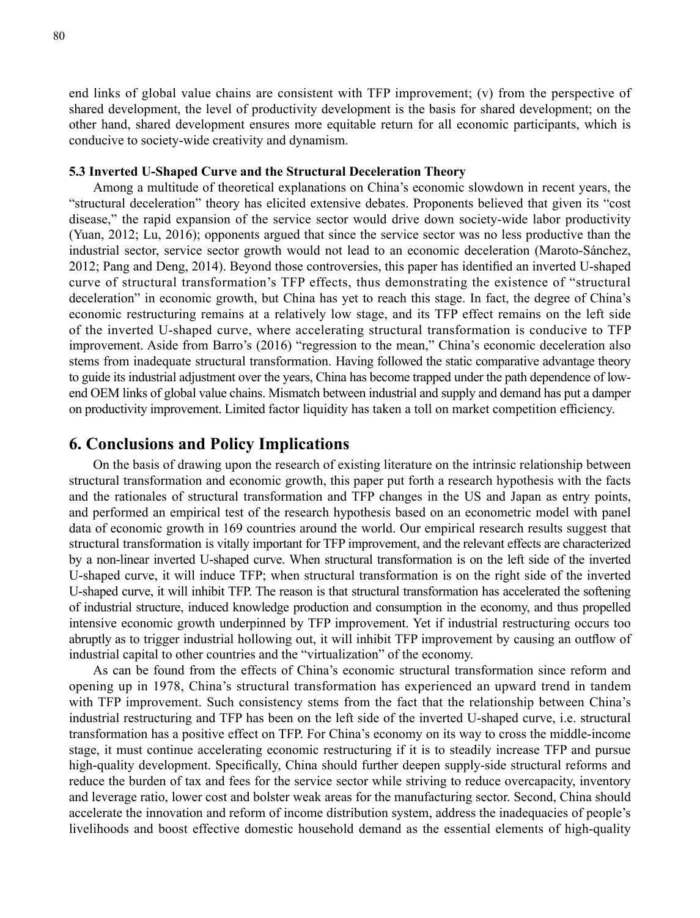end links of global value chains are consistent with TFP improvement; (v) from the perspective of shared development, the level of productivity development is the basis for shared development; on the other hand, shared development ensures more equitable return for all economic participants, which is conducive to society-wide creativity and dynamism.

#### **5.3 Inverted U-Shaped Curve and the Structural Deceleration Theory**

Among a multitude of theoretical explanations on China's economic slowdown in recent years, the "structural deceleration" theory has elicited extensive debates. Proponents believed that given its "cost disease," the rapid expansion of the service sector would drive down society-wide labor productivity (Yuan, 2012; Lu, 2016); opponents argued that since the service sector was no less productive than the industrial sector, service sector growth would not lead to an economic deceleration (Maroto-Sánchez, 2012; Pang and Deng, 2014). Beyond those controversies, this paper has identified an inverted U-shaped curve of structural transformation's TFP effects, thus demonstrating the existence of "structural deceleration" in economic growth, but China has yet to reach this stage. In fact, the degree of China's economic restructuring remains at a relatively low stage, and its TFP effect remains on the left side of the inverted U-shaped curve, where accelerating structural transformation is conducive to TFP improvement. Aside from Barro's (2016) "regression to the mean," China's economic deceleration also stems from inadequate structural transformation. Having followed the static comparative advantage theory to guide its industrial adjustment over the years, China has become trapped under the path dependence of lowend OEM links of global value chains. Mismatch between industrial and supply and demand has put a damper on productivity improvement. Limited factor liquidity has taken a toll on market competition efficiency.

# **6. Conclusions and Policy Implications**

On the basis of drawing upon the research of existing literature on the intrinsic relationship between structural transformation and economic growth, this paper put forth a research hypothesis with the facts and the rationales of structural transformation and TFP changes in the US and Japan as entry points, and performed an empirical test of the research hypothesis based on an econometric model with panel data of economic growth in 169 countries around the world. Our empirical research results suggest that structural transformation is vitally important for TFP improvement, and the relevant effects are characterized by a non-linear inverted U-shaped curve. When structural transformation is on the left side of the inverted U-shaped curve, it will induce TFP; when structural transformation is on the right side of the inverted U-shaped curve, it will inhibit TFP. The reason is that structural transformation has accelerated the softening of industrial structure, induced knowledge production and consumption in the economy, and thus propelled intensive economic growth underpinned by TFP improvement. Yet if industrial restructuring occurs too abruptly as to trigger industrial hollowing out, it will inhibit TFP improvement by causing an outflow of industrial capital to other countries and the "virtualization" of the economy.

As can be found from the effects of China's economic structural transformation since reform and opening up in 1978, China's structural transformation has experienced an upward trend in tandem with TFP improvement. Such consistency stems from the fact that the relationship between China's industrial restructuring and TFP has been on the left side of the inverted U-shaped curve, i.e. structural transformation has a positive effect on TFP. For China's economy on its way to cross the middle-income stage, it must continue accelerating economic restructuring if it is to steadily increase TFP and pursue high-quality development. Specifically, China should further deepen supply-side structural reforms and reduce the burden of tax and fees for the service sector while striving to reduce overcapacity, inventory and leverage ratio, lower cost and bolster weak areas for the manufacturing sector. Second, China should accelerate the innovation and reform of income distribution system, address the inadequacies of people's livelihoods and boost effective domestic household demand as the essential elements of high-quality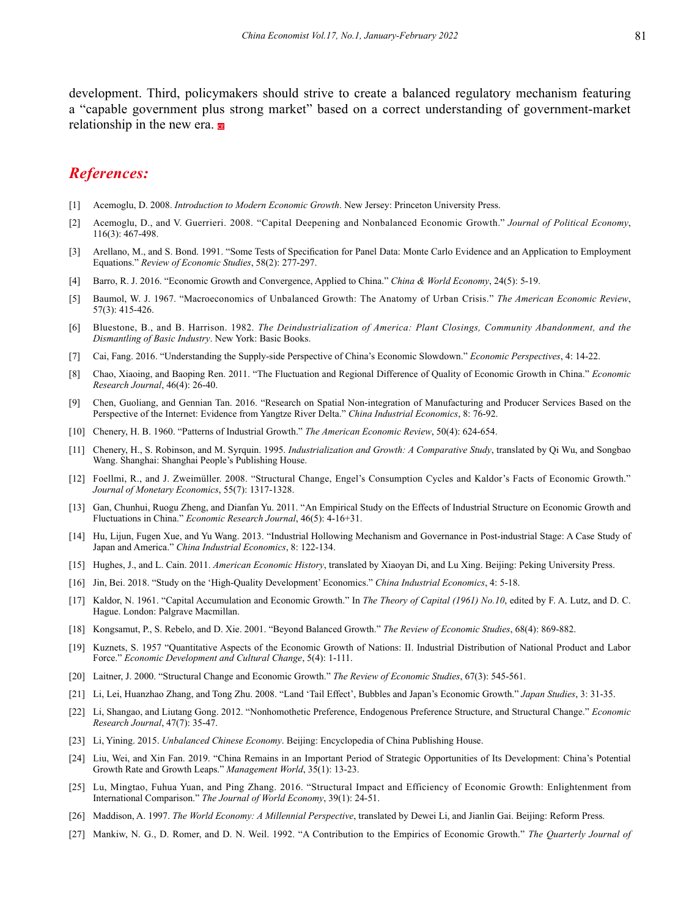development. Third, policymakers should strive to create a balanced regulatory mechanism featuring a "capable government plus strong market" based on a correct understanding of government-market relationship in the new era.

## *References:*

- [1] Acemoglu, D. 2008. *Introduction to Modern Economic Growth*. New Jersey: Princeton University Press.
- [2] Acemoglu, D., and V. Guerrieri. 2008. "Capital Deepening and Nonbalanced Economic Growth." *Journal of Political Economy*, 116(3): 467-498.
- [3] Arellano, M., and S. Bond. 1991. "Some Tests of Specification for Panel Data: Monte Carlo Evidence and an Application to Employment Equations." *Review of Economic Studies*, 58(2): 277-297.
- [4] Barro, R. J. 2016. "Economic Growth and Convergence, Applied to China." *China & World Economy*, 24(5): 5-19.
- [5] Baumol, W. J. 1967. "Macroeconomics of Unbalanced Growth: The Anatomy of Urban Crisis." *The American Economic Review*, 57(3): 415-426.
- [6] Bluestone, B., and B. Harrison. 1982. *The Deindustrialization of America: Plant Closings, Community Abandonment, and the Dismantling of Basic Industry*. New York: Basic Books.
- [7] Cai, Fang. 2016. "Understanding the Supply-side Perspective of China's Economic Slowdown." *Economic Perspectives*, 4: 14-22.
- [8] Chao, Xiaoing, and Baoping Ren. 2011. "The Fluctuation and Regional Difference of Quality of Economic Growth in China." *Economic Research Journal*, 46(4): 26-40.
- [9] Chen, Guoliang, and Gennian Tan. 2016. "Research on Spatial Non-integration of Manufacturing and Producer Services Based on the Perspective of the Internet: Evidence from Yangtze River Delta." *China Industrial Economics*, 8: 76-92.
- [10] Chenery, H. B. 1960. "Patterns of Industrial Growth." *The American Economic Review*, 50(4): 624-654.
- [11] Chenery, H., S. Robinson, and M. Syrquin. 1995. *Industrialization and Growth: A Comparative Study*, translated by Qi Wu, and Songbao Wang. Shanghai: Shanghai People's Publishing House.
- [12] Foellmi, R., and J. Zweimüller. 2008. "Structural Change, Engel's Consumption Cycles and Kaldor's Facts of Economic Growth." *Journal of Monetary Economics*, 55(7): 1317-1328.
- [13] Gan, Chunhui, Ruogu Zheng, and Dianfan Yu. 2011. "An Empirical Study on the Effects of Industrial Structure on Economic Growth and Fluctuations in China." *Economic Research Journal*, 46(5): 4-16+31.
- [14] Hu, Lijun, Fugen Xue, and Yu Wang. 2013. "Industrial Hollowing Mechanism and Governance in Post-industrial Stage: A Case Study of Japan and America." *China Industrial Economics*, 8: 122-134.
- [15] Hughes, J., and L. Cain. 2011. *American Economic History*, translated by Xiaoyan Di, and Lu Xing. Beijing: Peking University Press.
- [16] Jin, Bei. 2018. "Study on the 'High-Quality Development' Economics." *China Industrial Economics*, 4: 5-18.
- [17] Kaldor, N. 1961. "Capital Accumulation and Economic Growth." In *The Theory of Capital (1961) No.10*, edited by F. A. Lutz, and D. C. Hague. London: Palgrave Macmillan.
- [18] Kongsamut, P., S. Rebelo, and D. Xie. 2001. "Beyond Balanced Growth." *The Review of Economic Studies*, 68(4): 869-882.
- [19] Kuznets, S. 1957 "Quantitative Aspects of the Economic Growth of Nations: II. Industrial Distribution of National Product and Labor Force." *Economic Development and Cultural Change*, 5(4): 1-111.
- [20] Laitner, J. 2000. "Structural Change and Economic Growth." *The Review of Economic Studies*, 67(3): 545-561.
- [21] Li, Lei, Huanzhao Zhang, and Tong Zhu. 2008. "Land 'Tail Effect', Bubbles and Japan's Economic Growth." *Japan Studies*, 3: 31-35.
- [22] Li, Shangao, and Liutang Gong. 2012. "Nonhomothetic Preference, Endogenous Preference Structure, and Structural Change." *Economic Research Journal*, 47(7): 35-47.
- [23] Li, Yining. 2015. *Unbalanced Chinese Economy*. Beijing: Encyclopedia of China Publishing House.
- [24] Liu, Wei, and Xin Fan. 2019. "China Remains in an Important Period of Strategic Opportunities of Its Development: China's Potential Growth Rate and Growth Leaps." *Management World*, 35(1): 13-23.
- [25] Lu, Mingtao, Fuhua Yuan, and Ping Zhang. 2016. "Structural Impact and Efficiency of Economic Growth: Enlightenment from International Comparison." *The Journal of World Economy*, 39(1): 24-51.
- [26] Maddison, A. 1997. *The World Economy: A Millennial Perspective*, translated by Dewei Li, and Jianlin Gai. Beijing: Reform Press.
- [27] Mankiw, N. G., D. Romer, and D. N. Weil. 1992. "A Contribution to the Empirics of Economic Growth." *The Quarterly Journal of*